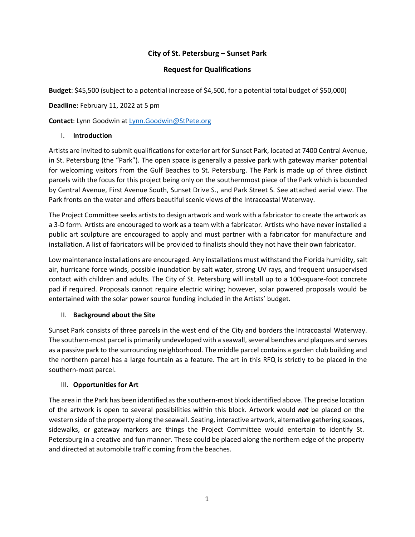# **City of St. Petersburg – Sunset Park**

# **Request for Qualifications**

**Budget**: \$45,500 (subject to a potential increase of \$4,500, for a potential total budget of \$50,000)

**Deadline:** February 11, 2022 at 5 pm

**Contact**: Lynn Goodwin a[t Lynn.Goodwin@StPete.org](mailto:Lynn.Goodwin@StPete.org)

### I. **Introduction**

Artists are invited to submit qualifications for exterior art for Sunset Park, located at 7400 Central Avenue, in St. Petersburg (the "Park"). The open space is generally a passive park with gateway marker potential for welcoming visitors from the Gulf Beaches to St. Petersburg. The Park is made up of three distinct parcels with the focus for this project being only on the southernmost piece of the Park which is bounded by Central Avenue, First Avenue South, Sunset Drive S., and Park Street S. See attached aerial view. The Park fronts on the water and offers beautiful scenic views of the Intracoastal Waterway.

The Project Committee seeks artists to design artwork and work with a fabricator to create the artwork as a 3-D form. Artists are encouraged to work as a team with a fabricator. Artists who have never installed a public art sculpture are encouraged to apply and must partner with a fabricator for manufacture and installation. A list of fabricators will be provided to finalists should they not have their own fabricator.

Low maintenance installations are encouraged. Any installations must withstand the Florida humidity, salt air, hurricane force winds, possible inundation by salt water, strong UV rays, and frequent unsupervised contact with children and adults. The City of St. Petersburg will install up to a 100-square-foot concrete pad if required. Proposals cannot require electric wiring; however, solar powered proposals would be entertained with the solar power source funding included in the Artists' budget.

#### II. **Background about the Site**

Sunset Park consists of three parcels in the west end of the City and borders the Intracoastal Waterway. The southern-most parcel is primarily undeveloped with a seawall, several benches and plaques and serves as a passive park to the surrounding neighborhood. The middle parcel contains a garden club building and the northern parcel has a large fountain as a feature. The art in this RFQ is strictly to be placed in the southern-most parcel.

# III. **Opportunities for Art**

The area in the Park has been identified as the southern-most block identified above. The precise location of the artwork is open to several possibilities within this block. Artwork would *not* be placed on the western side of the property along the seawall. Seating, interactive artwork, alternative gathering spaces, sidewalks, or gateway markers are things the Project Committee would entertain to identify St. Petersburg in a creative and fun manner. These could be placed along the northern edge of the property and directed at automobile traffic coming from the beaches.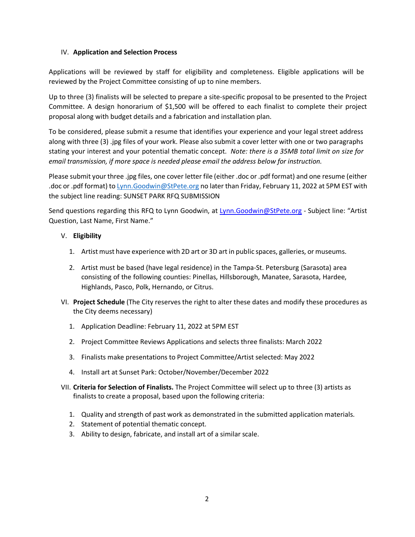### IV. **Application and Selection Process**

Applications will be reviewed by staff for eligibility and completeness. Eligible applications will be reviewed by the Project Committee consisting of up to nine members.

Up to three (3) finalists will be selected to prepare a site-specific proposal to be presented to the Project Committee. A design honorarium of \$1,500 will be offered to each finalist to complete their project proposal along with budget details and a fabrication and installation plan.

To be considered, please submit a resume that identifies your experience and your legal street address along with three (3) .jpg files of your work. Please also submit a cover letter with one or two paragraphs stating your interest and your potential thematic concept. *Note: there is a 35MB total limit on size for email transmission, if more space is needed please email the address below for instruction.*

Please submit your three .jpg files, one cover letter file (either .doc or .pdf format) and one resume (either .doc or .pdf format) t[o Lynn.Goodwin@StPete.org](mailto:Lynn.Goodwin@StPete.org) no later than Friday, February 11, 2022 at 5PM EST with the subject line reading: SUNSET PARK RFQ SUBMISSION

Send questions regarding this RFQ to Lynn Goodwin, at [Lynn.Goodwin@StPete.org](mailto:Lynn.Goodwin@StPete.org) - Subject line: "Artist Question, Last Name, First Name."

### V. **Eligibility**

- 1. Artist must have experience with 2D art or 3D art in public spaces, galleries, or museums.
- 2. Artist must be based (have legal residence) in the Tampa-St. Petersburg (Sarasota) area consisting of the following counties: Pinellas, Hillsborough, Manatee, Sarasota, Hardee, Highlands, Pasco, Polk, Hernando, or Citrus.
- VI. **Project Schedule** (The City reserves the right to alter these dates and modify these procedures as the City deems necessary)
	- 1. Application Deadline: February 11, 2022 at 5PM EST
	- 2. Project Committee Reviews Applications and selects three finalists: March 2022
	- 3. Finalists make presentations to Project Committee/Artist selected: May 2022
	- 4. Install art at Sunset Park: October/November/December 2022
- VII. **Criteria for Selection of Finalists.** The Project Committee will select up to three (3) artists as finalists to create a proposal, based upon the following criteria:
	- 1. Quality and strength of past work as demonstrated in the submitted application materials.
	- 2. Statement of potential thematic concept.
	- 3. Ability to design, fabricate, and install art of a similar scale.